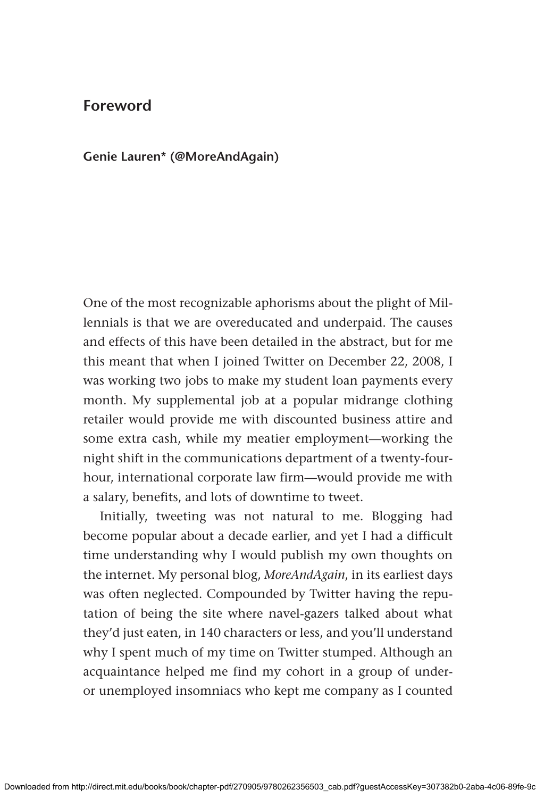# **Foreword**

## **Genie Lauren\* (@MoreAndAgain)**

One of the most recognizable aphorisms about the plight of Millennials is that we are overeducated and underpaid. The causes and effects of this have been detailed in the abstract, but for me this meant that when I joined Twitter on December 22, 2008, I was working two jobs to make my student loan payments every month. My supplemental job at a popular midrange clothing retailer would provide me with discounted business attire and some extra cash, while my meatier employment—working the night shift in the communications department of a twenty-fourhour, international corporate law firm—would provide me with a salary, benefits, and lots of downtime to tweet.

Initially, tweeting was not natural to me. Blogging had become popular about a decade earlier, and yet I had a difficult time understanding why I would publish my own thoughts on the internet. My personal blog, *MoreAndAgain*, in its earliest days was often neglected. Compounded by Twitter having the reputation of being the site where navel-gazers talked about what they'd just eaten, in 140 characters or less, and you'll understand why I spent much of my time on Twitter stumped. Although an acquaintance helped me find my cohort in a group of underor unemployed insomniacs who kept me company as I counted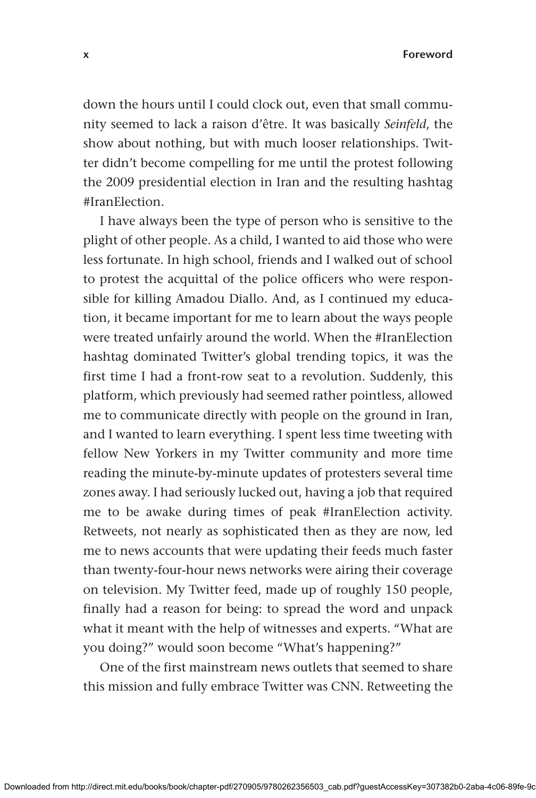**x Foreword**

down the hours until I could clock out, even that small community seemed to lack a raison d'être. It was basically *Seinfeld*, the show about nothing, but with much looser relationships. Twitter didn't become compelling for me until the protest following the 2009 presidential election in Iran and the resulting hashtag #IranElection.

I have always been the type of person who is sensitive to the plight of other people. As a child, I wanted to aid those who were less fortunate. In high school, friends and I walked out of school to protest the acquittal of the police officers who were responsible for killing Amadou Diallo. And, as I continued my education, it became important for me to learn about the ways people were treated unfairly around the world. When the #IranElection hashtag dominated Twitter's global trending topics, it was the first time I had a front-row seat to a revolution. Suddenly, this platform, which previously had seemed rather pointless, allowed me to communicate directly with people on the ground in Iran, and I wanted to learn everything. I spent less time tweeting with fellow New Yorkers in my Twitter community and more time reading the minute-by-minute updates of protesters several time zones away. I had seriously lucked out, having a job that required me to be awake during times of peak #IranElection activity. Retweets, not nearly as sophisticated then as they are now, led me to news accounts that were updating their feeds much faster than twenty-four-hour news networks were airing their coverage on television. My Twitter feed, made up of roughly 150 people, finally had a reason for being: to spread the word and unpack what it meant with the help of witnesses and experts. "What are you doing?" would soon become "What's happening?"

One of the first mainstream news outlets that seemed to share this mission and fully embrace Twitter was CNN. Retweeting the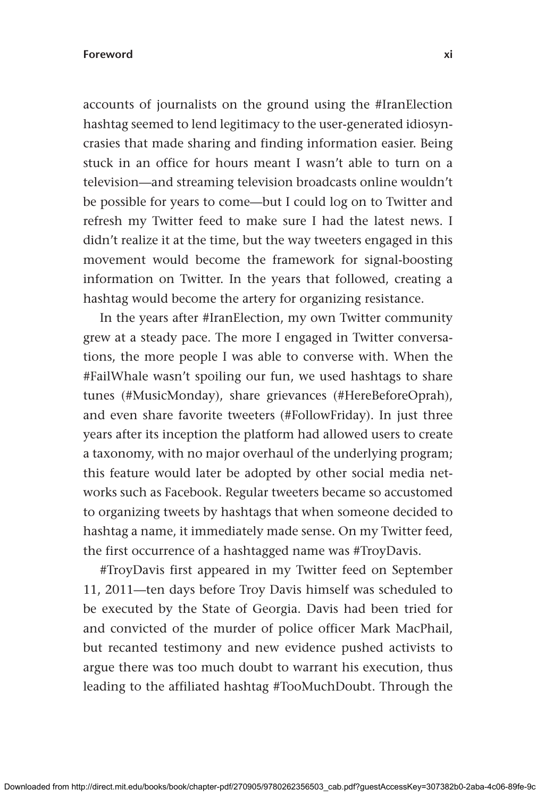#### **Foreword xi**

accounts of journalists on the ground using the #IranElection hashtag seemed to lend legitimacy to the user-generated idiosyncrasies that made sharing and finding information easier. Being stuck in an office for hours meant I wasn't able to turn on a television—and streaming television broadcasts online wouldn't be possible for years to come—but I could log on to Twitter and refresh my Twitter feed to make sure I had the latest news. I didn't realize it at the time, but the way tweeters engaged in this movement would become the framework for signal-boosting information on Twitter. In the years that followed, creating a hashtag would become the artery for organizing resistance.

In the years after #IranElection, my own Twitter community grew at a steady pace. The more I engaged in Twitter conversations, the more people I was able to converse with. When the #FailWhale wasn't spoiling our fun, we used hashtags to share tunes (#MusicMonday), share grievances (#HereBeforeOprah), and even share favorite tweeters (#FollowFriday). In just three years after its inception the platform had allowed users to create a taxonomy, with no major overhaul of the underlying program; this feature would later be adopted by other social media networks such as Facebook. Regular tweeters became so accustomed to organizing tweets by hashtags that when someone decided to hashtag a name, it immediately made sense. On my Twitter feed, the first occurrence of a hashtagged name was #TroyDavis.

#TroyDavis first appeared in my Twitter feed on September 11, 2011—ten days before Troy Davis himself was scheduled to be executed by the State of Georgia. Davis had been tried for and convicted of the murder of police officer Mark MacPhail, but recanted testimony and new evidence pushed activists to argue there was too much doubt to warrant his execution, thus leading to the affiliated hashtag #TooMuchDoubt. Through the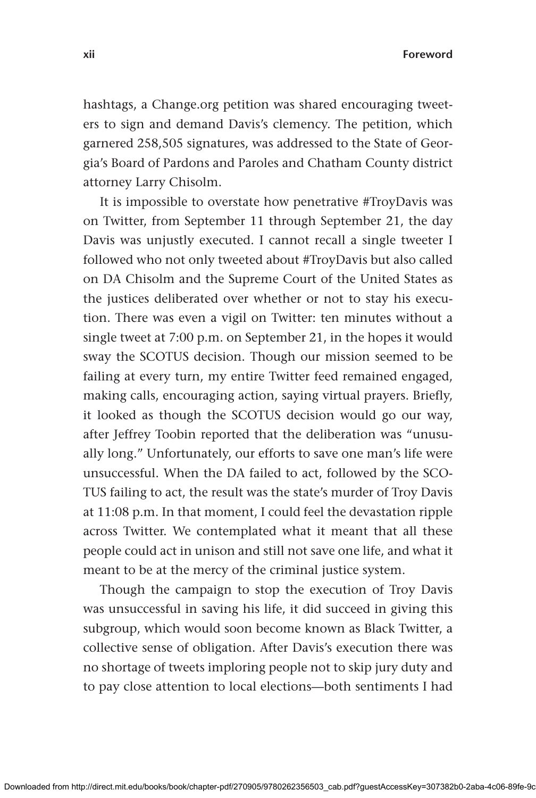**xii Foreword**

hashtags, a [Change.org](http://Change.org) petition was shared encouraging tweeters to sign and demand Davis's clemency. The petition, which garnered 258,505 signatures, was addressed to the State of Georgia's Board of Pardons and Paroles and Chatham County district attorney Larry Chisolm.

It is impossible to overstate how penetrative #TroyDavis was on Twitter, from September 11 through September 21, the day Davis was unjustly executed. I cannot recall a single tweeter I followed who not only tweeted about #TroyDavis but also called on DA Chisolm and the Supreme Court of the United States as the justices deliberated over whether or not to stay his execution. There was even a vigil on Twitter: ten minutes without a single tweet at 7:00 p.m. on September 21, in the hopes it would sway the SCOTUS decision. Though our mission seemed to be failing at every turn, my entire Twitter feed remained engaged, making calls, encouraging action, saying virtual prayers. Briefly, it looked as though the SCOTUS decision would go our way, after Jeffrey Toobin reported that the deliberation was "unusually long." Unfortunately, our efforts to save one man's life were unsuccessful. When the DA failed to act, followed by the SCO-TUS failing to act, the result was the state's murder of Troy Davis at 11:08 p.m. In that moment, I could feel the devastation ripple across Twitter. We contemplated what it meant that all these people could act in unison and still not save one life, and what it meant to be at the mercy of the criminal justice system.

Though the campaign to stop the execution of Troy Davis was unsuccessful in saving his life, it did succeed in giving this subgroup, which would soon become known as Black Twitter, a collective sense of obligation. After Davis's execution there was no shortage of tweets imploring people not to skip jury duty and to pay close attention to local elections—both sentiments I had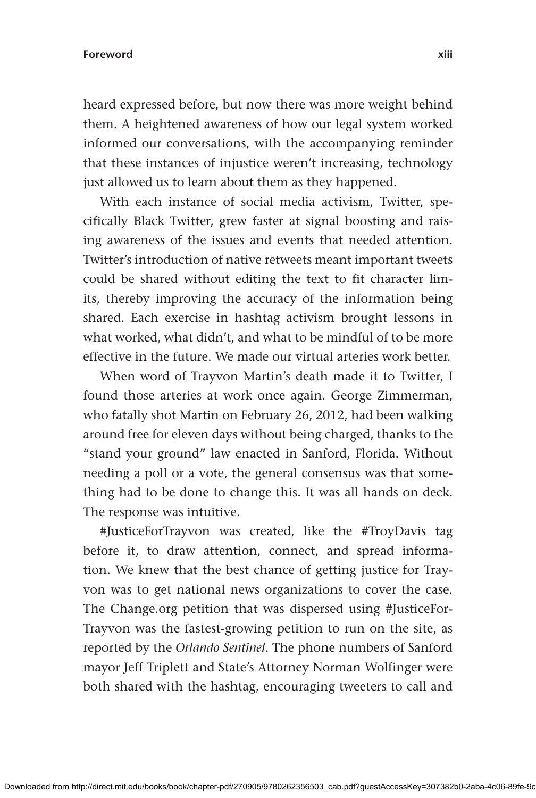#### **Foreword xiii**

heard expressed before, but now there was more weight behind them. A heightened awareness of how our legal system worked informed our conversations, with the accompanying reminder that these instances of injustice weren't increasing, technology just allowed us to learn about them as they happened.

With each instance of social media activism, Twitter, specifically Black Twitter, grew faster at signal boosting and raising awareness of the issues and events that needed attention. Twitter's introduction of native retweets meant important tweets could be shared without editing the text to fit character limits, thereby improving the accuracy of the information being shared. Each exercise in hashtag activism brought lessons in what worked, what didn't, and what to be mindful of to be more effective in the future. We made our virtual arteries work better.

When word of Trayvon Martin's death made it to Twitter, I found those arteries at work once again. George Zimmerman, who fatally shot Martin on February 26, 2012, had been walking around free for eleven days without being charged, thanks to the "stand your ground" law enacted in Sanford, Florida. Without needing a poll or a vote, the general consensus was that something had to be done to change this. It was all hands on deck. The response was intuitive.

#JusticeForTrayvon was created, like the #TroyDavis tag before it, to draw attention, connect, and spread information. We knew that the best chance of getting justice for Trayvon was to get national news organizations to cover the case. The [Change.org](http://Change.org) petition that was dispersed using #JusticeFor-Trayvon was the fastest-growing petition to run on the site, as reported by the *Orlando Sentinel*. The phone numbers of Sanford mayor Jeff Triplett and State's Attorney Norman Wolfinger were both shared with the hashtag, encouraging tweeters to call and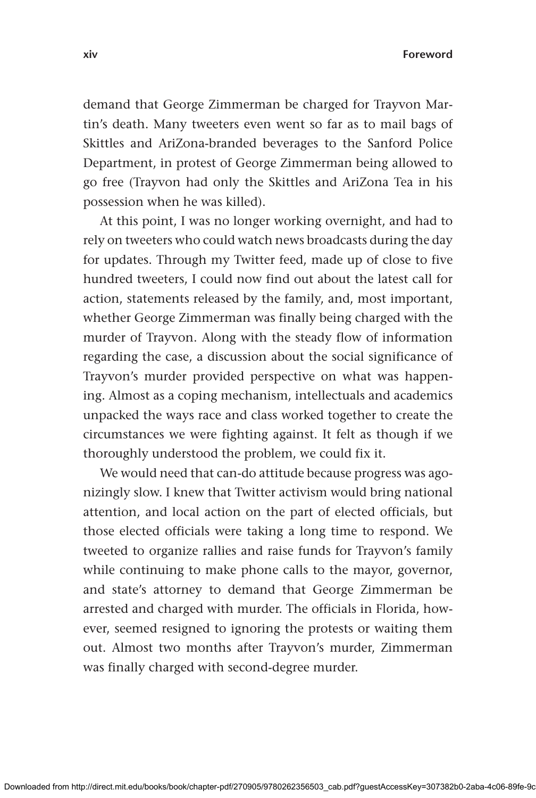**xiv Foreword**

demand that George Zimmerman be charged for Trayvon Martin's death. Many tweeters even went so far as to mail bags of Skittles and AriZona-branded beverages to the Sanford Police Department, in protest of George Zimmerman being allowed to go free (Trayvon had only the Skittles and AriZona Tea in his possession when he was killed).

At this point, I was no longer working overnight, and had to rely on tweeters who could watch news broadcasts during the day for updates. Through my Twitter feed, made up of close to five hundred tweeters, I could now find out about the latest call for action, statements released by the family, and, most important, whether George Zimmerman was finally being charged with the murder of Trayvon. Along with the steady flow of information regarding the case, a discussion about the social significance of Trayvon's murder provided perspective on what was happening. Almost as a coping mechanism, intellectuals and academics unpacked the ways race and class worked together to create the circumstances we were fighting against. It felt as though if we thoroughly understood the problem, we could fix it.

We would need that can-do attitude because progress was agonizingly slow. I knew that Twitter activism would bring national attention, and local action on the part of elected officials, but those elected officials were taking a long time to respond. We tweeted to organize rallies and raise funds for Trayvon's family while continuing to make phone calls to the mayor, governor, and state's attorney to demand that George Zimmerman be arrested and charged with murder. The officials in Florida, however, seemed resigned to ignoring the protests or waiting them out. Almost two months after Trayvon's murder, Zimmerman was finally charged with second-degree murder.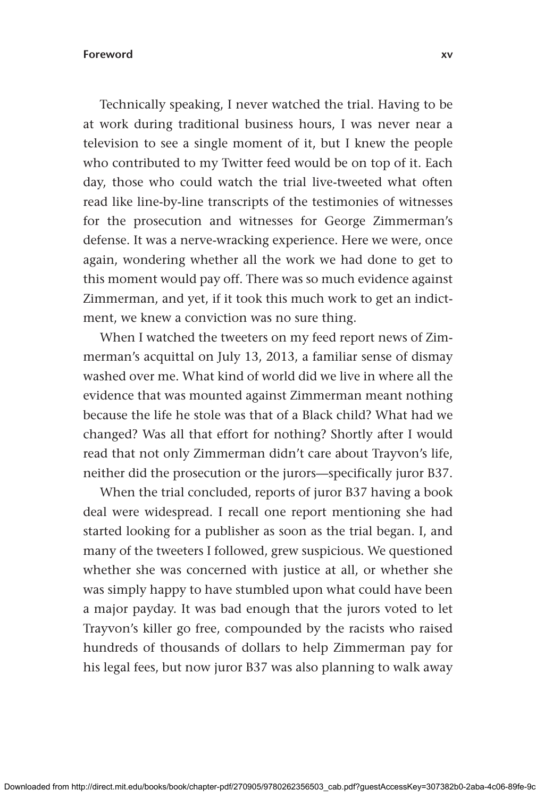#### **Foreword xv**

Technically speaking, I never watched the trial. Having to be at work during traditional business hours, I was never near a television to see a single moment of it, but I knew the people who contributed to my Twitter feed would be on top of it. Each day, those who could watch the trial live-tweeted what often read like line-by-line transcripts of the testimonies of witnesses for the prosecution and witnesses for George Zimmerman's defense. It was a nerve-wracking experience. Here we were, once again, wondering whether all the work we had done to get to this moment would pay off. There was so much evidence against Zimmerman, and yet, if it took this much work to get an indictment, we knew a conviction was no sure thing.

When I watched the tweeters on my feed report news of Zimmerman's acquittal on July 13, 2013, a familiar sense of dismay washed over me. What kind of world did we live in where all the evidence that was mounted against Zimmerman meant nothing because the life he stole was that of a Black child? What had we changed? Was all that effort for nothing? Shortly after I would read that not only Zimmerman didn't care about Trayvon's life, neither did the prosecution or the jurors—specifically juror B37.

When the trial concluded, reports of juror B37 having a book deal were widespread. I recall one report mentioning she had started looking for a publisher as soon as the trial began. I, and many of the tweeters I followed, grew suspicious. We questioned whether she was concerned with justice at all, or whether she was simply happy to have stumbled upon what could have been a major payday. It was bad enough that the jurors voted to let Trayvon's killer go free, compounded by the racists who raised hundreds of thousands of dollars to help Zimmerman pay for his legal fees, but now juror B37 was also planning to walk away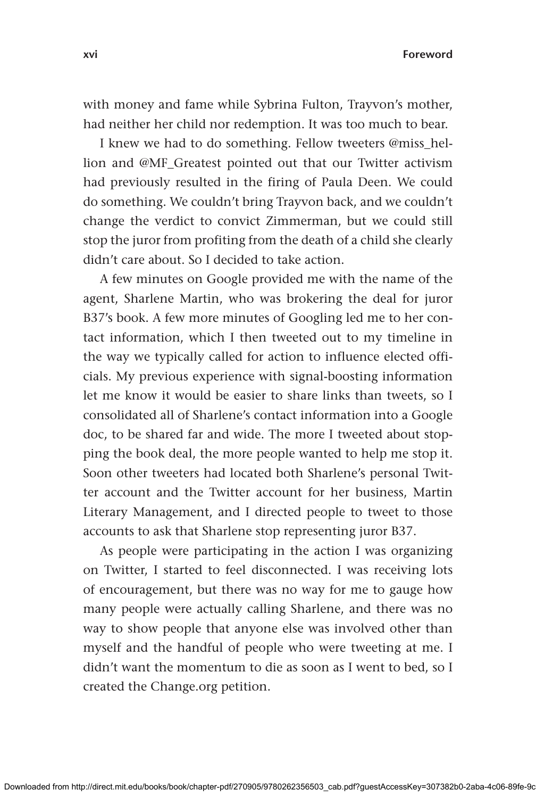**xvi Foreword**

with money and fame while Sybrina Fulton, Trayvon's mother, had neither her child nor redemption. It was too much to bear.

I knew we had to do something. Fellow tweeters @miss\_hellion and @MF\_Greatest pointed out that our Twitter activism had previously resulted in the firing of Paula Deen. We could do something. We couldn't bring Trayvon back, and we couldn't change the verdict to convict Zimmerman, but we could still stop the juror from profiting from the death of a child she clearly didn't care about. So I decided to take action.

A few minutes on Google provided me with the name of the agent, Sharlene Martin, who was brokering the deal for juror B37's book. A few more minutes of Googling led me to her contact information, which I then tweeted out to my timeline in the way we typically called for action to influence elected officials. My previous experience with signal-boosting information let me know it would be easier to share links than tweets, so I consolidated all of Sharlene's contact information into a Google doc, to be shared far and wide. The more I tweeted about stopping the book deal, the more people wanted to help me stop it. Soon other tweeters had located both Sharlene's personal Twitter account and the Twitter account for her business, Martin Literary Management, and I directed people to tweet to those accounts to ask that Sharlene stop representing juror B37.

As people were participating in the action I was organizing on Twitter, I started to feel disconnected. I was receiving lots of encouragement, but there was no way for me to gauge how many people were actually calling Sharlene, and there was no way to show people that anyone else was involved other than myself and the handful of people who were tweeting at me. I didn't want the momentum to die as soon as I went to bed, so I created the [Change.org](http://Change.org) petition.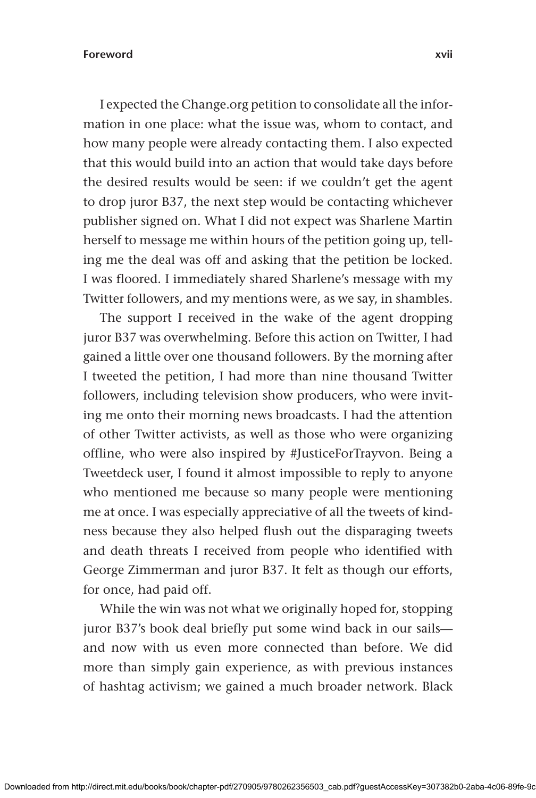#### **Foreword xvii**

I expected the [Change.org](http://Change.org) petition to consolidate all the information in one place: what the issue was, whom to contact, and how many people were already contacting them. I also expected that this would build into an action that would take days before the desired results would be seen: if we couldn't get the agent to drop juror B37, the next step would be contacting whichever publisher signed on. What I did not expect was Sharlene Martin herself to message me within hours of the petition going up, telling me the deal was off and asking that the petition be locked. I was floored. I immediately shared Sharlene's message with my Twitter followers, and my mentions were, as we say, in shambles.

The support I received in the wake of the agent dropping juror B37 was overwhelming. Before this action on Twitter, I had gained a little over one thousand followers. By the morning after I tweeted the petition, I had more than nine thousand Twitter followers, including television show producers, who were inviting me onto their morning news broadcasts. I had the attention of other Twitter activists, as well as those who were organizing offline, who were also inspired by #JusticeForTrayvon. Being a Tweetdeck user, I found it almost impossible to reply to anyone who mentioned me because so many people were mentioning me at once. I was especially appreciative of all the tweets of kindness because they also helped flush out the disparaging tweets and death threats I received from people who identified with George Zimmerman and juror B37. It felt as though our efforts, for once, had paid off.

While the win was not what we originally hoped for, stopping juror B37's book deal briefly put some wind back in our sails and now with us even more connected than before. We did more than simply gain experience, as with previous instances of hashtag activism; we gained a much broader network. Black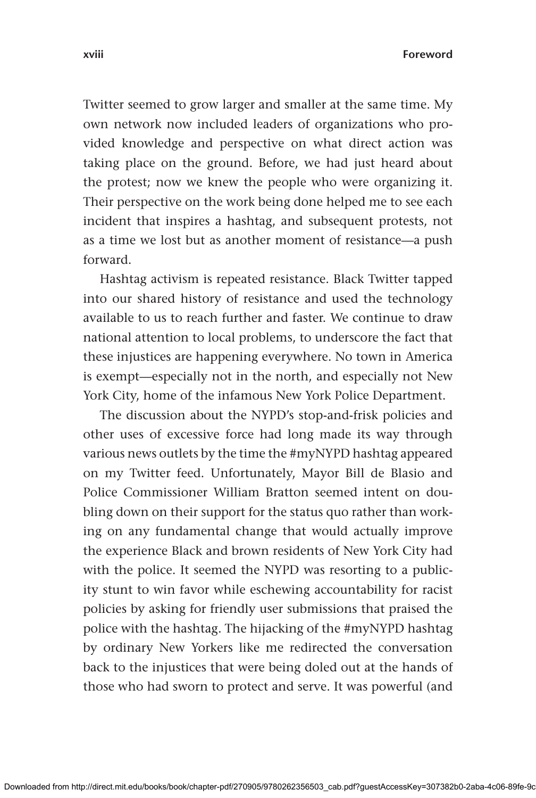**xviii Foreword**

Twitter seemed to grow larger and smaller at the same time. My own network now included leaders of organizations who provided knowledge and perspective on what direct action was taking place on the ground. Before, we had just heard about the protest; now we knew the people who were organizing it. Their perspective on the work being done helped me to see each incident that inspires a hashtag, and subsequent protests, not as a time we lost but as another moment of resistance—a push forward.

Hashtag activism is repeated resistance. Black Twitter tapped into our shared history of resistance and used the technology available to us to reach further and faster. We continue to draw national attention to local problems, to underscore the fact that these injustices are happening everywhere. No town in America is exempt—especially not in the north, and especially not New York City, home of the infamous New York Police Department.

The discussion about the NYPD's stop-and-frisk policies and other uses of excessive force had long made its way through various news outlets by the time the #myNYPD hashtag appeared on my Twitter feed. Unfortunately, Mayor Bill de Blasio and Police Commissioner William Bratton seemed intent on doubling down on their support for the status quo rather than working on any fundamental change that would actually improve the experience Black and brown residents of New York City had with the police. It seemed the NYPD was resorting to a publicity stunt to win favor while eschewing accountability for racist policies by asking for friendly user submissions that praised the police with the hashtag. The hijacking of the #myNYPD hashtag by ordinary New Yorkers like me redirected the conversation back to the injustices that were being doled out at the hands of those who had sworn to protect and serve. It was powerful (and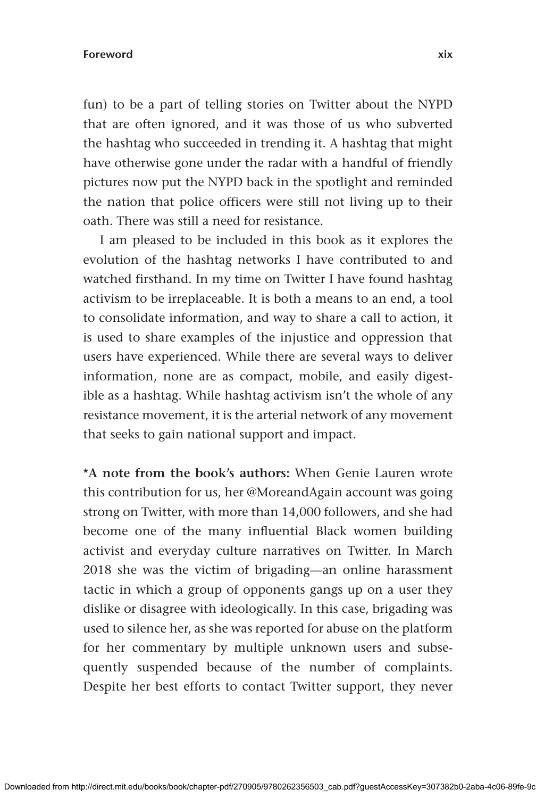### **Foreword xix**

fun) to be a part of telling stories on Twitter about the NYPD that are often ignored, and it was those of us who subverted the hashtag who succeeded in trending it. A hashtag that might have otherwise gone under the radar with a handful of friendly pictures now put the NYPD back in the spotlight and reminded the nation that police officers were still not living up to their oath. There was still a need for resistance.

I am pleased to be included in this book as it explores the evolution of the hashtag networks I have contributed to and watched firsthand. In my time on Twitter I have found hashtag activism to be irreplaceable. It is both a means to an end, a tool to consolidate information, and way to share a call to action, it is used to share examples of the injustice and oppression that users have experienced. While there are several ways to deliver information, none are as compact, mobile, and easily digestible as a hashtag. While hashtag activism isn't the whole of any resistance movement, it is the arterial network of any movement that seeks to gain national support and impact.

\***A note from the book's authors:** When Genie Lauren wrote this contribution for us, her @MoreandAgain account was going strong on Twitter, with more than 14,000 followers, and she had become one of the many influential Black women building activist and everyday culture narratives on Twitter. In March 2018 she was the victim of brigading—an online harassment tactic in which a group of opponents gangs up on a user they dislike or disagree with ideologically. In this case, brigading was used to silence her, as she was reported for abuse on the platform for her commentary by multiple unknown users and subsequently suspended because of the number of complaints. Despite her best efforts to contact Twitter support, they never